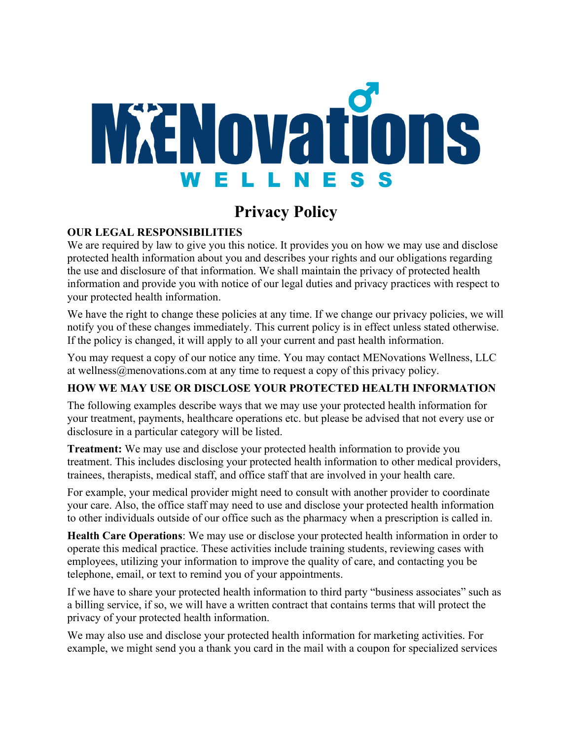

## **Privacy Policy**

## **OUR LEGAL RESPONSIBILITIES**

We are required by law to give you this notice. It provides you on how we may use and disclose protected health information about you and describes your rights and our obligations regarding the use and disclosure of that information. We shall maintain the privacy of protected health information and provide you with notice of our legal duties and privacy practices with respect to your protected health information.

We have the right to change these policies at any time. If we change our privacy policies, we will notify you of these changes immediately. This current policy is in effect unless stated otherwise. If the policy is changed, it will apply to all your current and past health information.

You may request a copy of our notice any time. You may contact MENovations Wellness, LLC at wellness@menovations.com at any time to request a copy of this privacy policy.

## **HOW WE MAY USE OR DISCLOSE YOUR PROTECTED HEALTH INFORMATION**

The following examples describe ways that we may use your protected health information for your treatment, payments, healthcare operations etc. but please be advised that not every use or disclosure in a particular category will be listed.

**Treatment:** We may use and disclose your protected health information to provide you treatment. This includes disclosing your protected health information to other medical providers, trainees, therapists, medical staff, and office staff that are involved in your health care.

For example, your medical provider might need to consult with another provider to coordinate your care. Also, the office staff may need to use and disclose your protected health information to other individuals outside of our office such as the pharmacy when a prescription is called in.

**Health Care Operations**: We may use or disclose your protected health information in order to operate this medical practice. These activities include training students, reviewing cases with employees, utilizing your information to improve the quality of care, and contacting you be telephone, email, or text to remind you of your appointments.

If we have to share your protected health information to third party "business associates" such as a billing service, if so, we will have a written contract that contains terms that will protect the privacy of your protected health information.

We may also use and disclose your protected health information for marketing activities. For example, we might send you a thank you card in the mail with a coupon for specialized services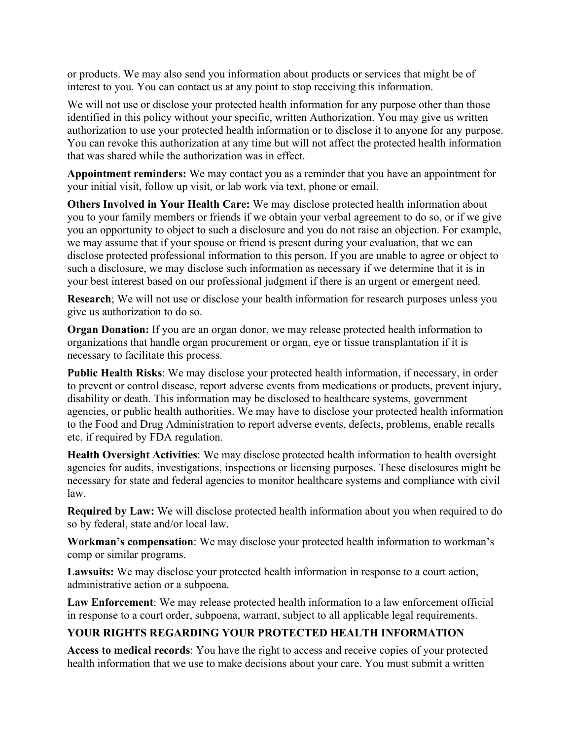or products. We may also send you information about products or services that might be of interest to you. You can contact us at any point to stop receiving this information.

We will not use or disclose your protected health information for any purpose other than those identified in this policy without your specific, written Authorization. You may give us written authorization to use your protected health information or to disclose it to anyone for any purpose. You can revoke this authorization at any time but will not affect the protected health information that was shared while the authorization was in effect.

**Appointment reminders:** We may contact you as a reminder that you have an appointment for your initial visit, follow up visit, or lab work via text, phone or email.

**Others Involved in Your Health Care:** We may disclose protected health information about you to your family members or friends if we obtain your verbal agreement to do so, or if we give you an opportunity to object to such a disclosure and you do not raise an objection. For example, we may assume that if your spouse or friend is present during your evaluation, that we can disclose protected professional information to this person. If you are unable to agree or object to such a disclosure, we may disclose such information as necessary if we determine that it is in your best interest based on our professional judgment if there is an urgent or emergent need.

**Research**; We will not use or disclose your health information for research purposes unless you give us authorization to do so.

**Organ Donation:** If you are an organ donor, we may release protected health information to organizations that handle organ procurement or organ, eye or tissue transplantation if it is necessary to facilitate this process.

**Public Health Risks**: We may disclose your protected health information, if necessary, in order to prevent or control disease, report adverse events from medications or products, prevent injury, disability or death. This information may be disclosed to healthcare systems, government agencies, or public health authorities. We may have to disclose your protected health information to the Food and Drug Administration to report adverse events, defects, problems, enable recalls etc. if required by FDA regulation.

**Health Oversight Activities**: We may disclose protected health information to health oversight agencies for audits, investigations, inspections or licensing purposes. These disclosures might be necessary for state and federal agencies to monitor healthcare systems and compliance with civil law.

**Required by Law:** We will disclose protected health information about you when required to do so by federal, state and/or local law.

**Workman's compensation**: We may disclose your protected health information to workman's comp or similar programs.

**Lawsuits:** We may disclose your protected health information in response to a court action, administrative action or a subpoena.

**Law Enforcement**: We may release protected health information to a law enforcement official in response to a court order, subpoena, warrant, subject to all applicable legal requirements.

## **YOUR RIGHTS REGARDING YOUR PROTECTED HEALTH INFORMATION**

**Access to medical records**: You have the right to access and receive copies of your protected health information that we use to make decisions about your care. You must submit a written